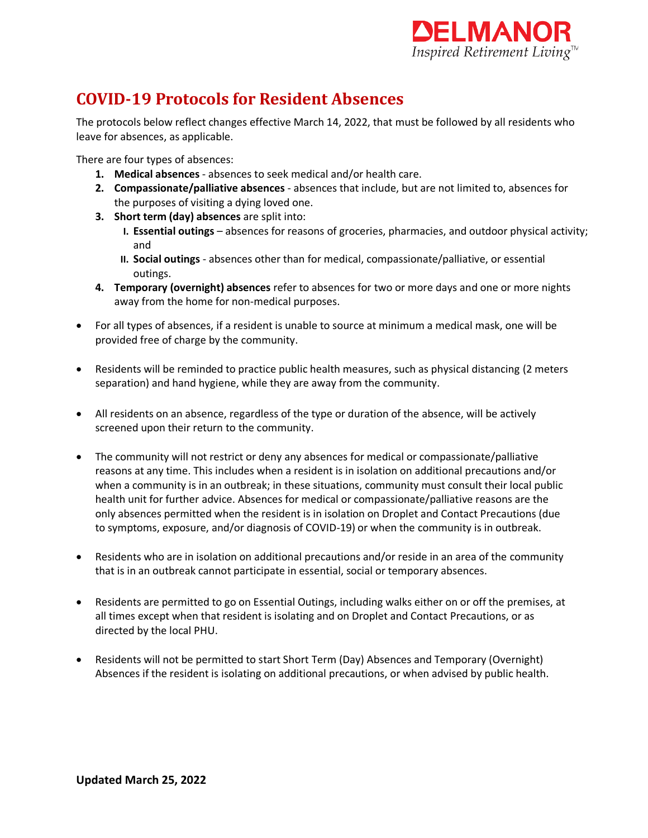

## **COVID-19 Protocols for Resident Absences**

The protocols below reflect changes effective March 14, 2022, that must be followed by all residents who leave for absences, as applicable.

There are four types of absences:

- **1. Medical absences**  absences to seek medical and/or health care.
- **2. Compassionate/palliative absences**  absences that include, but are not limited to, absences for the purposes of visiting a dying loved one.
- **3. Short term (day) absences** are split into:
	- **I. Essential outings**  absences for reasons of groceries, pharmacies, and outdoor physical activity; and
	- **II. Social outings** absences other than for medical, compassionate/palliative, or essential outings.
- **4. Temporary (overnight) absences** refer to absences for two or more days and one or more nights away from the home for non-medical purposes.
- For all types of absences, if a resident is unable to source at minimum a medical mask, one will be provided free of charge by the community.
- Residents will be reminded to practice public health measures, such as physical distancing (2 meters separation) and hand hygiene, while they are away from the community.
- All residents on an absence, regardless of the type or duration of the absence, will be actively screened upon their return to the community.
- The community will not restrict or deny any absences for medical or compassionate/palliative reasons at any time. This includes when a resident is in isolation on additional precautions and/or when a community is in an outbreak; in these situations, community must consult their local public health unit for further advice. Absences for medical or compassionate/palliative reasons are the only absences permitted when the resident is in isolation on Droplet and Contact Precautions (due to symptoms, exposure, and/or diagnosis of COVID-19) or when the community is in outbreak.
- Residents who are in isolation on additional precautions and/or reside in an area of the community that is in an outbreak cannot participate in essential, social or temporary absences.
- Residents are permitted to go on Essential Outings, including walks either on or off the premises, at all times except when that resident is isolating and on Droplet and Contact Precautions, or as directed by the local PHU.
- Residents will not be permitted to start Short Term (Day) Absences and Temporary (Overnight) Absences if the resident is isolating on additional precautions, or when advised by public health.